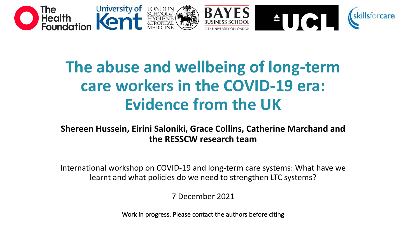

# **The abuse and wellbeing of long-term care workers in the COVID-19 era: Evidence from the UK**

**Shereen Hussein, Eirini Saloniki, Grace Collins, Catherine Marchand and the RESSCW research team**

International workshop on COVID-19 and long-term care systems: What have we learnt and what policies do we need to strengthen LTC systems?

7 December 2021

Work in progress. Please contact the authors before citing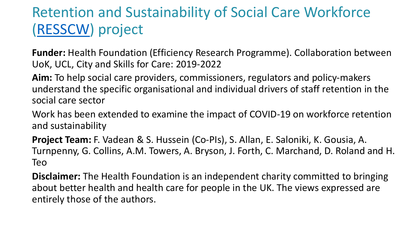# Retention and Sustainability of Social Care Workforce [\(RESSCW](https://www.pssru.ac.uk/resscw/frontpage/)) project

**Funder:** Health Foundation (Efficiency Research Programme). Collaboration between UoK, UCL, City and Skills for Care: 2019-2022

**Aim:** To help social care providers, commissioners, regulators and policy-makers understand the specific organisational and individual drivers of staff retention in the social care sector

Work has been extended to examine the impact of COVID-19 on workforce retention and sustainability

**Project Team:** F. Vadean & S. Hussein (Co-PIs), S. Allan, E. Saloniki, K. Gousia, A. Turnpenny, G. Collins, A.M. Towers, A. Bryson, J. Forth, C. Marchand, D. Roland and H. Teo

**Disclaimer:** The Health Foundation is an independent charity committed to bringing about better health and health care for people in the UK. The views expressed are entirely those of the authors.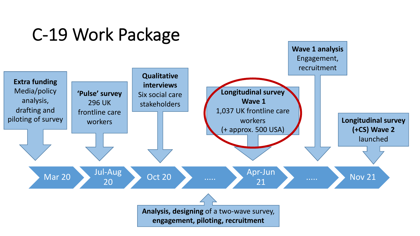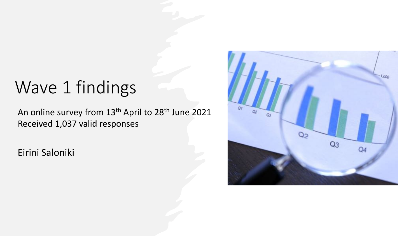# Wave 1 findings

An online survey from 13<sup>th</sup> April to 28<sup>th</sup> June 2021 Received 1,037 valid responses

Eirini Saloniki

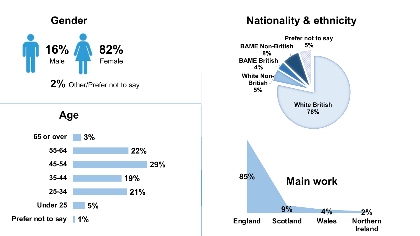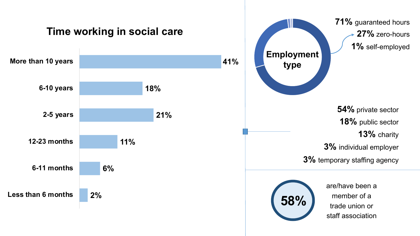

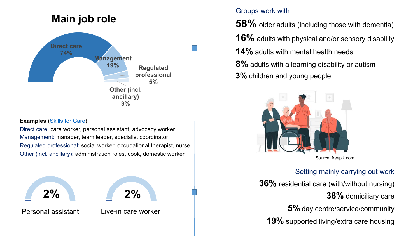

#### **Examples** ([Skills for Care\)](https://www.skillsforcare.org.uk/Careers-in-care/Job-roles/Job-roles-in-social-care.aspx)

Direct care: care worker, personal assistant, advocacy worker Management: manager, team leader, specialist coordinator Regulated professional: social worker, occupational therapist, nurse Other (incl. ancillary): administration roles, cook, domestic worker Source: freepik.com

Live-in care worker



Personal assistant

#### Groups work with

**58%** older adults (including those with dementia) **16%** adults with physical and/or sensory disability **14%** adults with mental health needs **8%** adults with a learning disability or autism **3%** children and young people



### Setting mainly carrying out work

**36%** residential care (with/without nursing) **38%** domiciliary care **5%** day centre/service/community **19%** supported living/extra care housing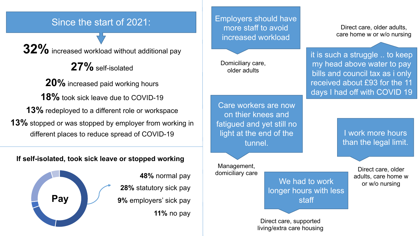### Since the start of 2021:

**32%** increased workload without additional pay

**27%** self-isolated

**20%** increased paid working hours **18%** took sick leave due to COVID-19 **13%** redeployed to a different role or workspace **13%** stopped or was stopped by employer from working in different places to reduce spread of COVID-19

### **If self-isolated, took sick leave or stopped working**



**48%** normal pay **28%** statutory sick pay **9%** employers' sick pay **11%** no pay Employers should have more staff to avoid increased workload

Domiciliary care, older adults

care home w or w/o nursing

Direct care, older adults,

it is such a struggle .. to keep my head above water to pay bills and council tax as i only received about £93 for the 11 days I had off with COVID 19

Care workers are now on thier knees and fatigued and yet still no light at the end of the tunnel.

Management, domiciliary care

We had to work longer hours with less staff

Direct care, supported living/extra care housing

I work more hours than the legal limit.

> Direct care, older adults, care home w or w/o nursing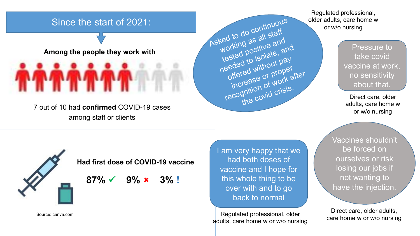### Since the start of 2021:

#### **Among the people they work with**

7 out of 10 had **confirmed** COVID-19 cases among staff or clients

Regulated professional, older adults, care home w or w/o nursing

> Pressure to take covid vaccine at work, no sensitivity about that.

Direct care, older adults, care home w or w/o nursing

**Had first dose of COVID-19 vaccine**

 $87\% \times 9\% \times 3\%$  !

I am very happy that we had both doses of vaccine and I hope for this whole thing to be over with and to go back to normal

Asked to do continuous

working as all staff

tested positive and

needed to isolate, and

offered without pay

increase or proper

recognition of work after

the covid crisis.

Regulated professional, older adults, care home w or w/o nursing Vaccines shouldn't be forced on ourselves or risk losing our jobs if not wanting to have the injection.

Direct care, older adults, care home w or w/o nursing

Source: canva.com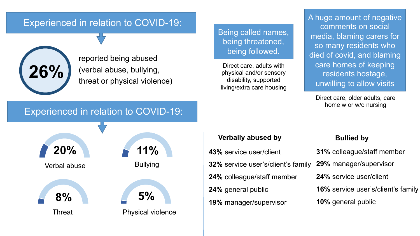### Experienced in relation to COVID-19:



reported being abused (verbal abuse, bullying, threat or physical violence) Being called names, being threatened, being followed.

Direct care, adults with physical and/or sensory disability, supported living/extra care housing A huge amount of negative comments on social media, blaming carers for so many residents who died of covid, and blaming care homes of keeping residents hostage, unwilling to allow visits

Direct care, older adults, care home w or w/o nursing

### Experienced in relation to COVID-19:



#### **Verbally abused by Bullied by**

**43%** service user/client **32%** service user's/client's family **24%** colleague/staff member **24%** general public **19%** manager/supervisor

| 31% colleague/staff member                |
|-------------------------------------------|
| 29% manager/supervisor                    |
| 24% service user/client                   |
| <b>16%</b> service user's/client's family |
| 10% general public                        |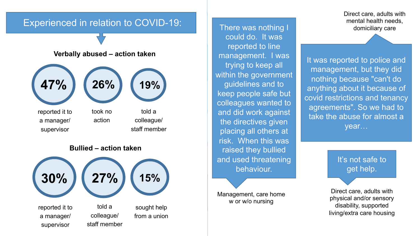### Experienced in relation to COVID-19:

#### **Verbally abused – action taken**



reported it to a manager/ supervisor

took no action

colleague/ staff member





There was nothing I domiciliary care could do. It was reported to line management. I was trying to keep all within the government guidelines and to keep people safe but colleagues wanted to and did work against the directives given placing all others at risk. When this was raised they bullied and used threatening behaviour.

Management, care home w or w/o nursing

Direct care, adults with mental health needs,

It was reported to police and management, but they did nothing because "can't do anything about it because of covid restrictions and tenancy agreements". So we had to take the abuse for almost a year…

> It's not safe to get help.

Direct care, adults with physical and/or sensory disability, supported living/extra care housing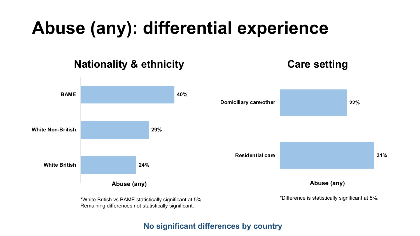# **Abuse (any): differential experience**

## **Nationality & ethnicity Care setting**

### **31% 22% Residential care Domiciliary care/other 24% 29% 40% White British White Non-British BAME**

**Abuse (any)**

\*Difference is statistically significant at 5%.

\*White British vs BAME statistically significant at 5%. Remaining differences not statistically significant.

**Abuse (any)**

### **No significant differences by country**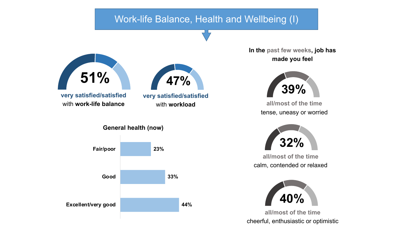### Work-life Balance, Health and Wellbeing (I)



**In the past few weeks, job has made you feel** 



**all/most of the time** tense, uneasy or worried



**all/most of the time** calm, contended or relaxed



**all/most of the time** cheerful, enthusiastic or optimistic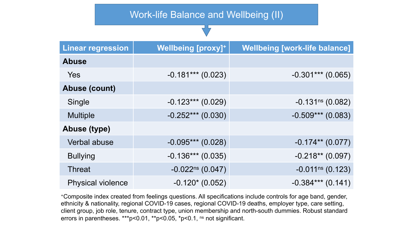### Work-life Balance and Wellbeing (II)

| <b>Linear regression</b> | <b>Wellbeing [proxy]+</b> | <b>Wellbeing [work-life balance]</b> |
|--------------------------|---------------------------|--------------------------------------|
| <b>Abuse</b>             |                           |                                      |
| Yes                      | $-0.181***$ (0.023)       | $-0.301***$ (0.065)                  |
| <b>Abuse (count)</b>     |                           |                                      |
| Single                   | $-0.123***$ (0.029)       | $-0.131ns$ (0.082)                   |
| <b>Multiple</b>          | $-0.252***(0.030)$        | $-0.509***$ (0.083)                  |
| <b>Abuse (type)</b>      |                           |                                      |
| Verbal abuse             | $-0.095***$ (0.028)       | $-0.174**$ (0.077)                   |
| <b>Bullying</b>          | $-0.136***$ (0.035)       | $-0.218**$ (0.097)                   |
| <b>Threat</b>            | $-0.022^{ns}$ (0.047)     | $-0.011$ <sup>ns</sup> (0.123)       |
| <b>Physical violence</b> | $-0.120*(0.052)$          | $-0.384***$ (0.141)                  |

+Composite index created from feelings questions. All specifications include controls for age band, gender, ethnicity & nationality, regional COVID-19 cases, regional COVID-19 deaths, employer type, care setting, client group, job role, tenure, contract type, union membership and north-south dummies. Robust standard errors in parentheses. \*\*\*p<0.01, \*\*p<0.05,  $p$ <0.1, ns not significant.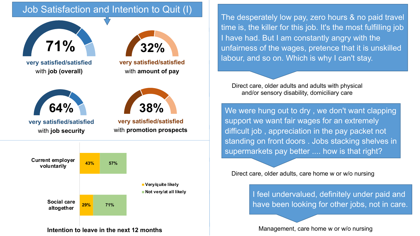## Job Satisfaction and Intention to Quit (I)



**very satisfied/satisfied** with **job (overall)**



**very satisfied/satisfied** with **job security**



with **amount of pay**



**very satisfied/satisfied** with **promotion prospects**



**Intention to leave in the next 12 months**

The desperately low pay, zero hours & no paid travel time is, the killer for this job. It's the most fulfilling job I have had. But I am constantly angry with the unfairness of the wages, pretence that it is unskilled labour, and so on. Which is why I can't stay.

Direct care, older adults and adults with physical and/or sensory disability, domiciliary care

We were hung out to dry , we don't want clapping support we want fair wages for an extremely difficult job , appreciation in the pay packet not standing on front doors . Jobs stacking shelves in supermarkets pay better .... how is that right?

Direct care, older adults, care home w or w/o nursing

I feel undervalued, definitely under paid and have been looking for other jobs, not in care.

Management, care home w or w/o nursing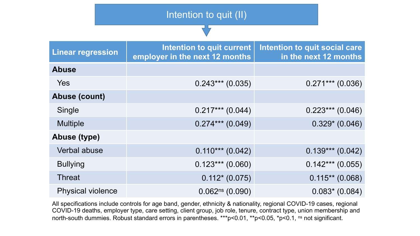|                          | Intention to quit (II)                                             |                                                        |  |  |
|--------------------------|--------------------------------------------------------------------|--------------------------------------------------------|--|--|
|                          |                                                                    |                                                        |  |  |
| <b>Linear regression</b> | <b>Intention to quit current</b><br>employer in the next 12 months | Intention to quit social care<br>in the next 12 months |  |  |
| <b>Abuse</b>             |                                                                    |                                                        |  |  |
| Yes                      | $0.243***$ (0.035)                                                 | $0.271***$ (0.036)                                     |  |  |
| <b>Abuse (count)</b>     |                                                                    |                                                        |  |  |
| Single                   | $0.217***$ (0.044)                                                 | $0.223***$ (0.046)                                     |  |  |
| <b>Multiple</b>          | $0.274***$ (0.049)                                                 | $0.329* (0.046)$                                       |  |  |
| <b>Abuse (type)</b>      |                                                                    |                                                        |  |  |
| Verbal abuse             | $0.110***$ (0.042)                                                 | $0.139***$ (0.042)                                     |  |  |
| <b>Bullying</b>          | $0.123***$ (0.060)                                                 | $0.142***$ (0.055)                                     |  |  |
| <b>Threat</b>            | $0.112*(0.075)$                                                    | $0.115**$ (0.068)                                      |  |  |
| <b>Physical violence</b> | $0.062^{ns}$ (0.090)                                               | $0.083* (0.084)$                                       |  |  |

All specifications include controls for age band, gender, ethnicity & nationality, regional COVID-19 cases, regional COVID-19 deaths, employer type, care setting, client group, job role, tenure, contract type, union membership and north-south dummies. Robust standard errors in parentheses. \*\*\*p<0.01, \*\*p<0.05, \*p<0.1, ns not significant.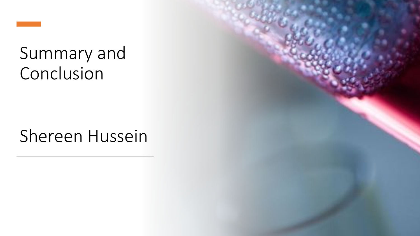# Summary and Conclusion

# Shereen Hussein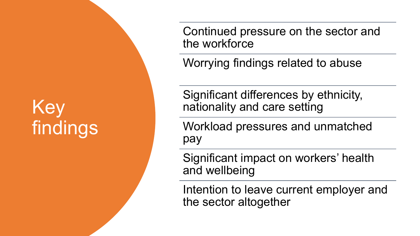# Key findings

Continued pressure on the sector and the workforce

Worrying findings related to abuse

Significant differences by ethnicity, nationality and care setting

Workload pressures and unmatched pay

Significant impact on workers' health and wellbeing

Intention to leave current employer and the sector altogether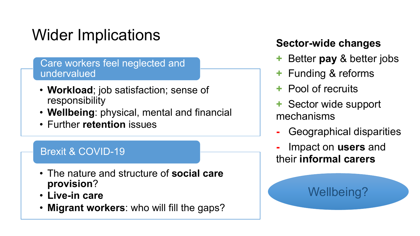# Wider Implications

### Care workers feel neglected and undervalued

- **Workload**; job satisfaction; sense of responsibility
- **Wellbeing**: physical, mental and financial
- Further **retention** issues

# Brexit & COVID-19

- The nature and structure of **social care provision**?
- **Live-in care**
- **Migrant workers**: who will fill the gaps?

# **Sector-wide changes**

- **+** Better **pay** & better jobs
- **+** Funding & reforms
- **+** Pool of recruits
- **+** Sector wide support mechanisms
- **-** Geographical disparities

Wellbeing?

**-** Impact on **users** and their **informal carers**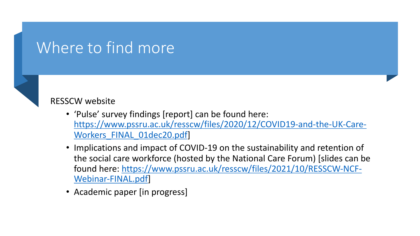# Where to find more



### RESSCW website

- 'Pulse' survey findings [report] can be found here: [https://www.pssru.ac.uk/resscw/files/2020/12/COVID19-and-the-UK-Care-](https://www.pssru.ac.uk/resscw/files/2020/12/COVID19-and-the-UK-Care-Workers_FINAL_01dec20.pdf)Workers FINAL 01dec20.pdf
- Implications and impact of COVID-19 on the sustainability and retention of the social care workforce (hosted by the National Care Forum) [slides can be [found here: https://www.pssru.ac.uk/resscw/files/2021/10/RESSCW-NCF-](https://www.pssru.ac.uk/resscw/files/2021/10/RESSCW-NCF-Webinar-FINAL.pdf)Webinar-FINAL.pdf]
- Academic paper [in progress]